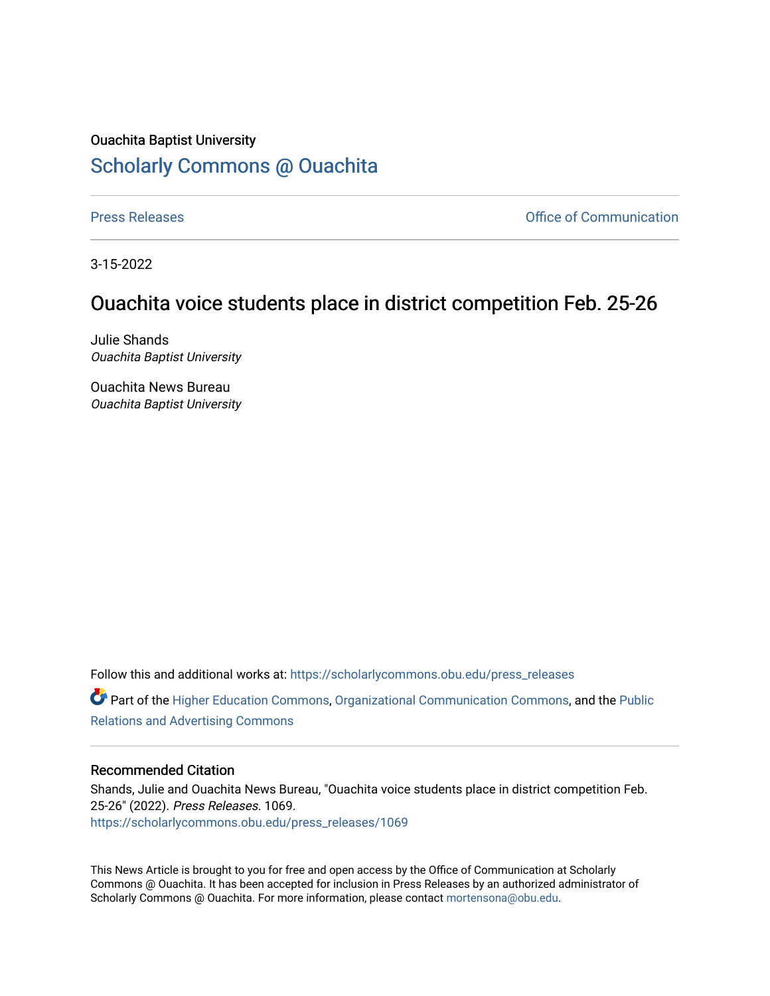## Ouachita Baptist University [Scholarly Commons @ Ouachita](https://scholarlycommons.obu.edu/)

[Press Releases](https://scholarlycommons.obu.edu/press_releases) **Press Releases Communication** 

3-15-2022

## Ouachita voice students place in district competition Feb. 25-26

Julie Shands Ouachita Baptist University

Ouachita News Bureau Ouachita Baptist University

Follow this and additional works at: [https://scholarlycommons.obu.edu/press\\_releases](https://scholarlycommons.obu.edu/press_releases?utm_source=scholarlycommons.obu.edu%2Fpress_releases%2F1069&utm_medium=PDF&utm_campaign=PDFCoverPages)

Part of the [Higher Education Commons,](http://network.bepress.com/hgg/discipline/1245?utm_source=scholarlycommons.obu.edu%2Fpress_releases%2F1069&utm_medium=PDF&utm_campaign=PDFCoverPages) [Organizational Communication Commons,](http://network.bepress.com/hgg/discipline/335?utm_source=scholarlycommons.obu.edu%2Fpress_releases%2F1069&utm_medium=PDF&utm_campaign=PDFCoverPages) and the [Public](http://network.bepress.com/hgg/discipline/336?utm_source=scholarlycommons.obu.edu%2Fpress_releases%2F1069&utm_medium=PDF&utm_campaign=PDFCoverPages) [Relations and Advertising Commons](http://network.bepress.com/hgg/discipline/336?utm_source=scholarlycommons.obu.edu%2Fpress_releases%2F1069&utm_medium=PDF&utm_campaign=PDFCoverPages) 

## Recommended Citation

Shands, Julie and Ouachita News Bureau, "Ouachita voice students place in district competition Feb. 25-26" (2022). Press Releases. 1069. [https://scholarlycommons.obu.edu/press\\_releases/1069](https://scholarlycommons.obu.edu/press_releases/1069?utm_source=scholarlycommons.obu.edu%2Fpress_releases%2F1069&utm_medium=PDF&utm_campaign=PDFCoverPages) 

This News Article is brought to you for free and open access by the Office of Communication at Scholarly Commons @ Ouachita. It has been accepted for inclusion in Press Releases by an authorized administrator of Scholarly Commons @ Ouachita. For more information, please contact [mortensona@obu.edu](mailto:mortensona@obu.edu).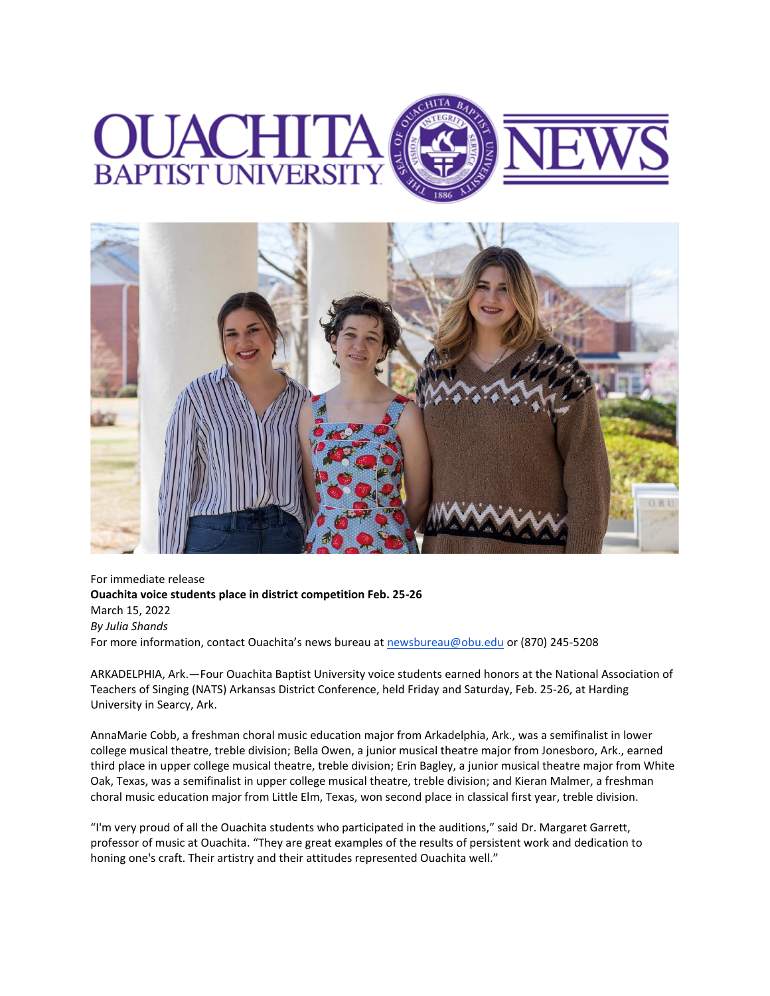



For immediate release **Ouachita voice students place in district competition Feb. 25-26** March 15, 2022 *By Julia Shands* For more information, contact Ouachita's news bureau at [newsbureau@obu.edu](mailto:newsbureau@obu.edu) or (870) 245-5208

ARKADELPHIA, Ark.—Four Ouachita Baptist University voice students earned honors at the National Association of Teachers of Singing (NATS) Arkansas District Conference, held Friday and Saturday, Feb. 25-26, at Harding University in Searcy, Ark.

AnnaMarie Cobb, a freshman choral music education major from Arkadelphia, Ark., was a semifinalist in lower college musical theatre, treble division; Bella Owen, a junior musical theatre major from Jonesboro, Ark., earned third place in upper college musical theatre, treble division; Erin Bagley, a junior musical theatre major from White Oak, Texas, was a semifinalist in upper college musical theatre, treble division; and Kieran Malmer, a freshman choral music education major from Little Elm, Texas, won second place in classical first year, treble division.

"I'm very proud of all the Ouachita students who participated in the auditions," said Dr. Margaret Garrett, professor of music at Ouachita. "They are great examples of the results of persistent work and dedication to honing one's craft. Their artistry and their attitudes represented Ouachita well."